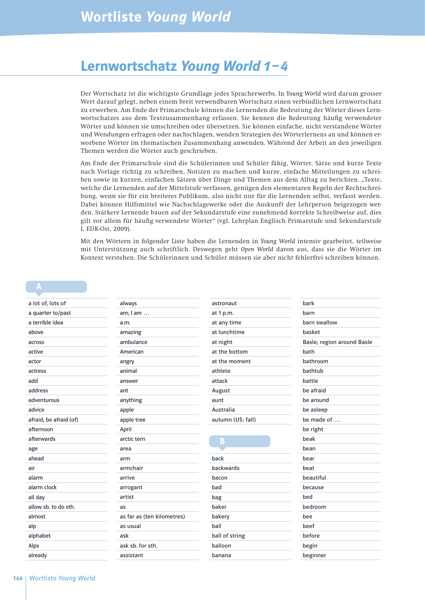## Lernwortschatz Young World 1– 4

Der Wortschatz ist die wichtigste Grundlage jedes Spracherwerbs. In *Young World* wird darum grosser Wert darauf gelegt, neben einem breit verwendbaren Wortschatz einen verbindlichen Lernwortschatz zu erwerben. Am Ende der Primarschule können die Lernenden die Bedeutung der Wörter dieses Lernwortschatzes aus dem Textzusammenhang erfassen. Sie kennen die Bedeutung häufig verwendeter Wörter und können sie umschreiben oder übersetzen. Sie können einfache, nicht verstandene Wörter und Wendungen erfragen oder nachschlagen, wenden Strategien des Wörterlernens an und können erworbene Wörter im thematischen Zusammenhang anwenden. Während der Arbeit an den jeweiligen Themen werden die Wörter auch geschrieben.

Am Ende der Primarschule sind die Schülerinnen und Schüler fähig, Wörter, Sätze und kurze Texte nach Vorlage richtig zu schreiben, Notizen zu machen und kurze, einfache Mitteilungen zu schreiben sowie in kurzen, einfachen Sätzen über Dinge und Themen aus dem Alltag zu berichten. "Texte, welche die Lernenden auf der Mittelstufe verfassen, genügen den elementaren Regeln der Rechtschreibung, wenn sie für ein breiteres Publikum, also nicht nur für die Lernenden selbst, verfasst werden. Dabei können Hilfsmittel wie Nachschlagewerke oder die Auskunft der Lehrperson beigezogen werden. Stärkere Lernende bauen auf der Sekundarstufe eine zunehmend korrekte Schreibweise auf, dies gilt vor allem für häufig verwendete Wörter" (vgl. Lehrplan Englisch Primarstufe und Sekundarstufe I, EDK-Ost, 2009).

Mit den Wörtern in folgender Liste haben die Lernenden in *Young World* intensiv gearbeitet, teilweise mit Unterstützung auch schriftlich. Deswegen geht *Open World* davon aus, dass sie die Wörter im Kontext verstehen. Die Schülerinnen und Schüler müssen sie aber nicht fehlerfrei schreiben können.

#### a lot of, lots of a quarter to/past a terrible idea above across active actor actress add address adventurous advice afraid; be afraid (of) afternoon afterwards age ahead air alarm alarm clock all day allow sb. to do sth. almost alp alphabet Alps already always am; I am … a.m. amazing ambulance American angry animal answer ant anything apple apple tree April arctic tern area arm armchair arrive arrogant artist as as far as (ten kilometres) as usual ask ask sb. for sth. assistant astronaut at 1 p.m. at any time at lunchtime at night at the bottom at the moment athlete attack August aunt Australia autumn (US: fall) back backwards bacon bad bag baker bakery ball ball of string balloon banana bark barn barn swallow basket Basle; region around Basle bath bathroom bathtub battle be afraid be around be asleep be made of … be right beak bean bear beat beautiful because bed bedroom bee beef before begin beginner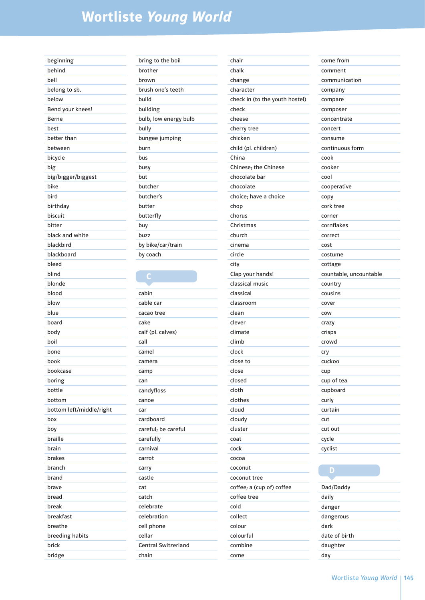| beginning                |
|--------------------------|
| behind                   |
| bell                     |
| belong to sb.            |
| below                    |
| Bend your knees!         |
| Berne                    |
| best                     |
| better than              |
| between                  |
| bicycle                  |
| big                      |
| big/bigger/biggest       |
| bike                     |
| bird                     |
| birthday                 |
| biscuit                  |
| bitter                   |
| black and white          |
| blackbird                |
| blackboard               |
| bleed                    |
| blind                    |
| blonde                   |
| blood                    |
| blow                     |
| blue                     |
|                          |
| board                    |
| body<br>boil             |
|                          |
| bone                     |
| book                     |
| bookcase                 |
| boring                   |
| bottle                   |
| bottom                   |
| bottom left/middle/right |
| box                      |
| boy                      |
| braille                  |
| brain                    |
| brakes                   |
| branch                   |
| brand                    |
| brave                    |
| bread                    |
| break                    |
| breakfast                |
| breathe                  |
| breeding habits          |
| brick                    |
| bridge                   |

| bring to the boil     |
|-----------------------|
| brother               |
| brown                 |
| brush one's teeth     |
| build                 |
| building              |
| bulb; low energy bulb |
| bully                 |
| bungee jumping        |
| burn                  |
| bus                   |
| busy                  |
| but                   |
| butcher               |
| butcher's             |
| butter                |
| butterfly             |
| buy                   |
| buzz                  |
| by bike/car/train     |
| by coach              |
|                       |

| cabin                      |
|----------------------------|
| cable car                  |
| cacao tree                 |
| cake                       |
| calf (pl. calves)          |
| call                       |
| camel                      |
| camera                     |
| camp                       |
| can                        |
| candyfloss                 |
| canoe                      |
| car                        |
| cardboard                  |
| careful; be careful        |
| carefully                  |
| carnival                   |
| carrot                     |
| carry                      |
| castle                     |
| cat                        |
| catch                      |
| celebrate                  |
| celebration                |
| cell phone                 |
| cellar                     |
| <b>Central Switzerland</b> |
| chain                      |

| chair                          |
|--------------------------------|
| chalk                          |
| change                         |
| character                      |
| check in (to the youth hostel) |
| check                          |
| cheese                         |
| cherry tree                    |
| chicken                        |
| child (pl. children)           |
| China                          |
| Chinese; the Chinese           |
| chocolate bar                  |
| chocolate                      |
| choice; have a choice          |
| chop                           |
| chorus                         |
| Christmas                      |
| church                         |
| cinema                         |
| circle                         |
| city                           |
| Clap your hands!               |
| classical music                |
| classical                      |
| classroom                      |
| clean                          |
| clever                         |
| climate                        |
| climb                          |
| clock                          |
|                                |
| close to                       |
| close                          |
| closed                         |
| cloth                          |
| clothes                        |
| cloud                          |
| cloudy                         |
| cluster                        |
| coat                           |
| cock                           |
| cocoa                          |
| coconut                        |
| coconut tree                   |
| coffee; a (cup of) coffee      |
| coffee tree                    |
| cold                           |
| collect                        |
| colour                         |
| colourful                      |
| combine                        |
| come                           |
|                                |

| come from              |
|------------------------|
| comment                |
| communication          |
| company                |
| compare                |
| composer               |
| concentrate            |
| concert                |
| consume                |
| continuous form        |
| cook                   |
| cooker                 |
| cool                   |
| cooperative            |
| copy                   |
| cork tree              |
| corner                 |
| cornflakes             |
| correct                |
| cost                   |
| costume                |
| cottage                |
| countable, uncountable |
| country                |
| cousins                |
| cover                  |
| cow                    |
| crazy                  |
| crisps                 |
| crowd                  |
| cry                    |
| cuckoo                 |
| cup                    |
| cup of tea             |
| cupboard               |
| curly                  |
| curtain                |
| cut                    |
| cut out                |
| cycle                  |
| cyclist                |
|                        |

| Dad/Daddy     |
|---------------|
| daily         |
| danger        |
| dangerous     |
| dark          |
| date of birth |
| daughter      |
| dav           |
|               |

**District**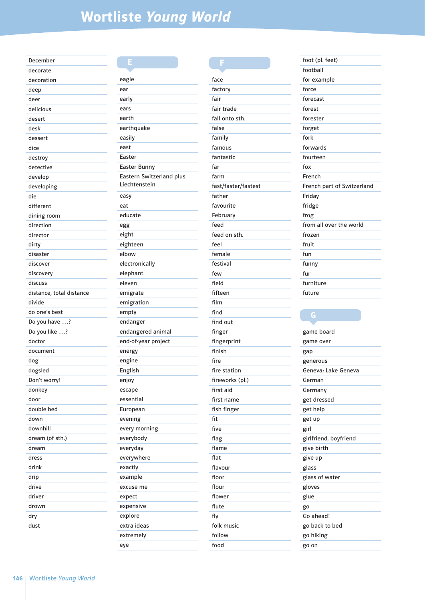| December                 |
|--------------------------|
| decorate                 |
| decoration               |
| deep                     |
| deer                     |
| delicious                |
| desert                   |
| desk                     |
| dessert                  |
| dice                     |
| destroy                  |
| detective                |
| develop                  |
| developing               |
| die                      |
| different                |
| dining room              |
| direction                |
| director                 |
| dirty                    |
| disaster                 |
| discover                 |
| discovery                |
| discuss                  |
| distance; total distance |
| divide                   |
| do one's best            |
| Do you have ?            |
|                          |
| Do you like ?            |
| doctor                   |
| document                 |
| dog                      |
| dogsled                  |
| Don't worry!             |
| donkey                   |
| door                     |
| double bed               |
| down                     |
| downhill                 |
| dream (of sth.)          |
| dream                    |
| dress                    |
| drink                    |
| drip                     |
| drive                    |
| driver                   |
| drown                    |
| dry                      |

| eagle                    |
|--------------------------|
| ear                      |
| early                    |
| ears                     |
| earth                    |
| earthquake               |
| easily                   |
| east                     |
| Easter                   |
| <b>Easter Bunny</b>      |
| Eastern Switzerland plus |
| Liechtenstein            |
| easy                     |
| eat                      |
| educate                  |
| egg                      |
| eight                    |
| eighteen                 |
| elbow                    |
| electronically           |
| elephant                 |
| eleven                   |
| emigrate                 |
| emigration               |
| empty                    |
| endanger                 |
| endangered animal        |
| end-of-year project      |
| energy                   |
| engine                   |
| English                  |
|                          |
| enjoy                    |
| escape<br>essential      |
|                          |
| European                 |
| evening                  |
| every morning            |
| everybody                |
| everyday                 |
| everywhere               |
| exactly                  |
| example                  |
| excuse me                |
| expect                   |
| expensive                |
| explore                  |
| extra ideas              |
| extremely                |
| eye                      |

| face                 |  |
|----------------------|--|
| factory              |  |
| fair                 |  |
| fair trade           |  |
| fall onto sth.       |  |
| false                |  |
| family               |  |
| famous               |  |
| fantastic            |  |
| far                  |  |
| farm                 |  |
| fast/faster/fastest  |  |
| father               |  |
| favourite            |  |
|                      |  |
| February<br>feed     |  |
|                      |  |
| feed on sth.<br>feel |  |
|                      |  |
| female               |  |
| festival             |  |
| few                  |  |
| field                |  |
| fifteen              |  |
| film                 |  |
| find                 |  |
| find out             |  |
| finger               |  |
| fingerprint          |  |
| finish               |  |
| fire                 |  |
| fire station         |  |
| fireworks (pl.)      |  |
| first aid            |  |
| first name           |  |
| fish finger          |  |
| fit                  |  |
| five                 |  |
| flag                 |  |
| flame                |  |
| flat                 |  |
| flavour              |  |
| floor                |  |
| flour                |  |
| flower               |  |
| flute                |  |
| fly                  |  |
| folk music           |  |
| follow               |  |
| food                 |  |

| foot (pl. feet)            |  |
|----------------------------|--|
| football                   |  |
| for example                |  |
| force                      |  |
| forecast                   |  |
| forest                     |  |
| forester                   |  |
| forget                     |  |
| fork                       |  |
| forwards                   |  |
| fourteen                   |  |
| fox                        |  |
| French                     |  |
| French part of Switzerland |  |
| Friday                     |  |
| fridge                     |  |
| frog                       |  |
| from all over the world    |  |
| frozen                     |  |
| fruit                      |  |
| fun                        |  |
| funny                      |  |
| fur                        |  |
| furniture                  |  |
| future                     |  |

| game board            |
|-----------------------|
| game over             |
| gap                   |
| generous              |
| Geneva; Lake Geneva   |
| German                |
| Germany               |
| get dressed           |
| get help              |
| get up                |
| girl                  |
| girlfriend, boyfriend |
| give birth            |
| give up               |
| glass                 |
| glass of water        |
| gloves                |
| glue                  |
| go                    |
| Go ahead!             |
| go back to bed        |
| go hiking             |
| go on                 |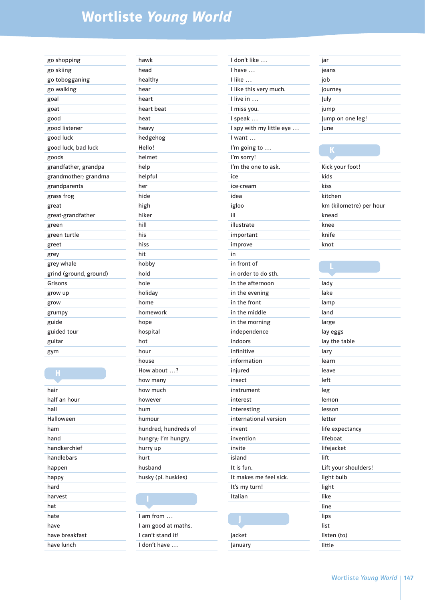| go shopping            |
|------------------------|
| go skiing              |
| go tobogganing         |
| go walking             |
| goal                   |
| goat                   |
| good                   |
| good listener          |
| good luck              |
| good luck, bad luck    |
| goods                  |
| grandfather; grandpa   |
| grandmother; grandma   |
| grandparents           |
| grass frog             |
| great                  |
| great-grandfather      |
| green                  |
| green turtle           |
| greet                  |
| grey                   |
| grey whale             |
| grind (ground, ground) |
| Grisons                |
| grow up                |
| grow                   |
| grumpy                 |
| guide                  |
| guided tour            |
| guitar                 |
| gym                    |

| hair           |
|----------------|
| half an hour   |
| hall           |
| Halloween      |
| ham            |
| hand           |
| handkerchief   |
| handlebars     |
| happen         |
| happy          |
| hard           |
| harvest        |
| hat            |
| hate           |
| have           |
| have breakfast |
| have lunch     |

H

| hawk                 |
|----------------------|
| head                 |
| healthy              |
| hear                 |
| heart                |
| heart beat           |
| heat                 |
| heavy                |
| hedgehog             |
| Hello!               |
| helmet               |
| help                 |
| helpful              |
| her                  |
| hide                 |
| high                 |
| hiker                |
| hill                 |
| his                  |
| hiss                 |
| hit                  |
| hobby                |
| hold                 |
| hole                 |
| holiday              |
| home                 |
| homework             |
| hope                 |
| hospital             |
| hot                  |
| hour                 |
| house                |
| How about ?          |
| how many             |
| how much             |
| however              |
| hum                  |
| humour               |
| hundred; hundreds of |
| hungry; I'm hungry.  |
| hurry up             |
| hurt                 |
| husband              |
| husky (pl. huskies)  |
|                      |

## I

| $l$ am from $\ldots$ |
|----------------------|
| I am good at maths.  |
| l can't stand it!    |
| I don't have         |

| I don't like             |
|--------------------------|
| have<br>ı                |
| I like                   |
| I like this very much.   |
| I live in                |
| I miss you.              |
| I speak                  |
| I spy with my little eye |
| I want                   |
| I'm going to             |
| I'm sorry!               |
| I'm the one to ask.      |
| ice                      |
| ice-cream                |
| idea                     |
| igloo                    |
| ill                      |
| illustrate               |
|                          |
| important                |
| improve                  |
| in                       |
| in front of              |
| in order to do sth.      |
| in the afternoon         |
| in the evening           |
| in the front             |
| in the middle            |
| in the morning           |
| independence             |
| indoors                  |
| infinitive               |
| information              |
| injured                  |
| insect                   |
| instrument               |
| interest                 |
| interesting              |
| international version    |
| invent                   |
| invention                |
| invite                   |
| island                   |
| It is fun.               |
| It makes me feel sick.   |
| It's my turn!            |
| Italian                  |
|                          |
|                          |

## J  $\frac{1}{\sqrt{2}}$

| January |  |
|---------|--|

| jar              |
|------------------|
| jeans            |
| job              |
| journey          |
| July             |
| jump             |
| Jump on one leg! |
| June             |
|                  |

### Kick your foot! kids kiss kitchen km (kilometre) per hour knead knee knife knot

| lady                 |
|----------------------|
| lake                 |
| lamp                 |
| land                 |
| large                |
| lay eggs             |
| lay the table        |
| lazy                 |
| learn                |
| leave                |
| left                 |
| leg                  |
| lemon                |
| lesson               |
| letter               |
| life expectancy      |
| lifeboat             |
| lifejacket           |
| lift                 |
| Lift your shoulders! |
| light bulb           |
| light                |
| like                 |
| line                 |
| lips                 |
| list                 |
| listen (to)          |
| little               |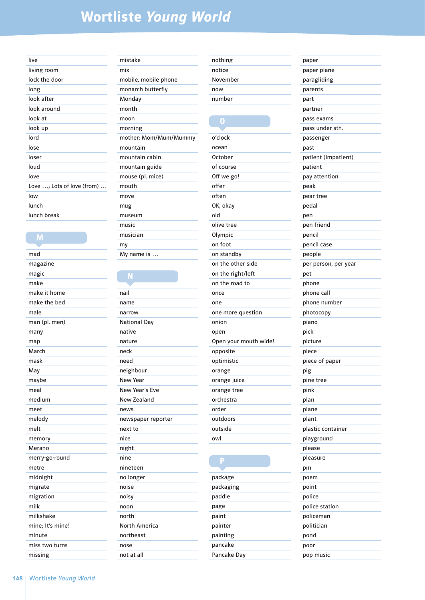| living room<br>lock the door<br>long<br>look after<br>look around<br>look at<br>look up<br>lord<br>lose<br>loser<br>loud<br>love<br>Love $\ldots$ ; Lots of love (from) $\ldots$<br>low<br>lunch<br>lunch break | live |
|-----------------------------------------------------------------------------------------------------------------------------------------------------------------------------------------------------------------|------|
|                                                                                                                                                                                                                 |      |
|                                                                                                                                                                                                                 |      |
|                                                                                                                                                                                                                 |      |
|                                                                                                                                                                                                                 |      |
|                                                                                                                                                                                                                 |      |
|                                                                                                                                                                                                                 |      |
|                                                                                                                                                                                                                 |      |
|                                                                                                                                                                                                                 |      |
|                                                                                                                                                                                                                 |      |
|                                                                                                                                                                                                                 |      |
|                                                                                                                                                                                                                 |      |
|                                                                                                                                                                                                                 |      |
|                                                                                                                                                                                                                 |      |
|                                                                                                                                                                                                                 |      |
|                                                                                                                                                                                                                 |      |
|                                                                                                                                                                                                                 |      |

M

mad magazine magic make make it home make the bed male man (pl. men) many map March mask May maybe meal medium meet melody melt memory Merano merry-go-round metre midnight migrate migration milk milkshake mine; It's mine! minute miss two turns missing

| mistake               |
|-----------------------|
| mix                   |
| mobile, mobile phone  |
| monarch butterfly     |
| Monday                |
| month                 |
| moon                  |
| morning               |
| mother; Mom/Mum/Mummy |
| mountain              |
| mountain cabin        |
| mountain guide        |
| mouse (pl. mice)      |
| mouth                 |
| move                  |
| mug                   |
| museum                |
| music                 |
| musician              |
| my                    |
| My name is            |

### nail name narrow National Day native nature neck need neighbour New Year New Year's Eve New Zealand news newspaper reporter next to nice night nine nineteen no longer noise noisy noon north North America northeast nose

not at all

| nothing  |
|----------|
| notice   |
| November |
| now      |
| number   |

### O o'clock ocean October of course Off we go! offer often OK, okay old olive tree Olympic on foot on standby on the other side on the right/left on the road to once one one more question onion open Open your mouth wide! opposite optimistic orange orange juice orange tree orchestra order outdoors outside owl

| package     |
|-------------|
| packaging   |
| paddle      |
| page        |
| paint       |
| painter     |
| painting    |
| pancake     |
| Pancake Dav |
|             |

| paper                |
|----------------------|
| paper plane          |
| paragliding          |
| parents              |
| part                 |
| partner              |
|                      |
| pass exams           |
| pass under sth.      |
| passenger            |
| past                 |
| patient (impatient)  |
| patient              |
| pay attention        |
| peak                 |
| pear tree            |
| pedal                |
| pen                  |
| pen friend           |
| pencil               |
| pencil case          |
| people               |
| per person, per year |
| pet                  |
| phone                |
| phone call           |
| phone number         |
| photocopy            |
| piano                |
| pick                 |
| picture              |
| piece                |
|                      |
| piece of paper       |
| pig                  |
| pine tree            |
| pink                 |
| plan                 |
| plane                |
| plant                |
| plastic container    |
| playground           |
| please               |
| pleasure             |
| pm                   |
| poem                 |
| point                |
| police               |
| police station       |
| policeman            |
| politician           |
| pond                 |
| poor                 |
| pop music            |
|                      |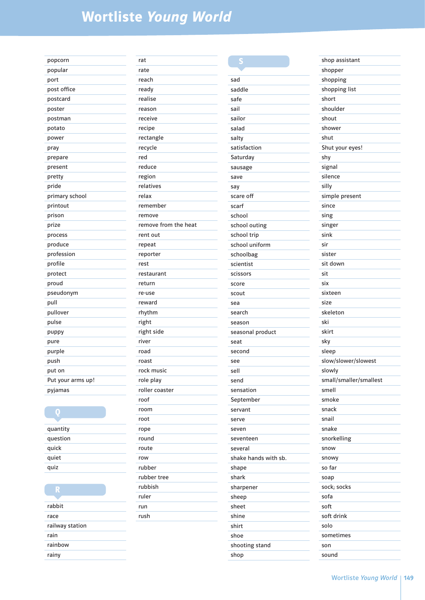| popcorn           | ľ |
|-------------------|---|
| popular           | ľ |
| port              | ľ |
| post office       | ľ |
| postcard          | ľ |
| poster            | ľ |
| postman           | ľ |
| potato            | ľ |
| power             | ľ |
| pray              | ľ |
| prepare           | ľ |
| present           | ľ |
| pretty            | ľ |
| pride             | ľ |
| primary school    | ľ |
| printout          | ľ |
| prison            | ľ |
| prize             | ľ |
| process           | ľ |
| produce           | ľ |
| profession        | ľ |
| profile           | ľ |
| protect           | ľ |
| proud             | ľ |
| pseudonym         | ľ |
| pull              | ľ |
| pullover          | ľ |
| pulse             | ľ |
| puppy             | ľ |
| pure              | ľ |
| purple            | ľ |
| push              | ľ |
| put on            | ľ |
| Put your arms up! | ľ |
| pyjamas           | ľ |
|                   | ľ |
| ٥                 | ľ |
|                   | ľ |
| quantity          | ľ |
| question          | ľ |
| quick             | ľ |
| quiet             | ľ |
|                   |   |

| R               |
|-----------------|
|                 |
| rabbit          |
| race            |
| railway station |
| rain            |
| rainbow         |
| rainy           |

quiz

| rat                  |
|----------------------|
| rate                 |
| reach                |
| ready                |
| realise              |
| reason               |
| receive              |
| recipe               |
| rectangle            |
| recycle              |
| red                  |
| reduce               |
| region               |
| relatives            |
| relax                |
| remember             |
| remove               |
| remove from the heat |
| rent out             |
| repeat               |
| reporter             |
| rest                 |
| restaurant           |
| return               |
| re-use               |
| reward               |
| rhythm               |
| right                |
| right side           |
| river                |
| road                 |
| roast                |
| rock music           |
| role play            |
| roller coaster       |
| roof                 |
| room                 |
| root                 |
| rope                 |
| round                |
| route                |
| row                  |
| rubber               |
| rubber tree          |
| rubbish              |
| ruler                |
| run<br>rush          |
|                      |
|                      |

| sad                  |
|----------------------|
| saddle               |
| safe                 |
| sail                 |
| sailor               |
| salad                |
| salty                |
| satisfaction         |
| Saturday             |
| sausage              |
| save                 |
| say                  |
| scare off            |
| scarf                |
| school               |
| school outing        |
| school trip          |
| school uniform       |
| schoolbag            |
| scientist            |
| scissors             |
| score                |
| scout                |
| sea                  |
| search               |
| season               |
| seasonal product     |
| seat                 |
| second               |
| see                  |
| sell                 |
| send                 |
| sensation            |
| September            |
| servant              |
| serve                |
| seven                |
| seventeen            |
| several              |
| shake hands with sb. |
| shape                |
| shark                |
| sharpener            |
| sheep                |
| sheet                |
| shine                |
| shirt                |
| shoe                 |
| shooting stand       |
| shop                 |

| shop assistant         |
|------------------------|
| shopper                |
| shopping               |
| shopping list          |
| short                  |
| shoulder               |
| shout                  |
| shower                 |
| shut                   |
| Shut your eyes!        |
| shy                    |
| signal                 |
| silence                |
| silly                  |
| simple present         |
| since                  |
| sing                   |
| singer                 |
| sink                   |
| sir                    |
| sister                 |
| sit down               |
| sit                    |
| six                    |
|                        |
| sixteen                |
| size                   |
| skeleton               |
| ski                    |
| skirt                  |
| sky                    |
| sleep                  |
| slow/slower/slowest    |
| slowly                 |
| small/smaller/smallest |
| smell                  |
| smoke                  |
| snack                  |
| snail                  |
| snake                  |
| snorkelling            |
| snow                   |
| snowy                  |
| so far                 |
| soap                   |
| sock; socks            |
| sofa                   |
| soft                   |
| soft drink             |
| solo                   |
| sometimes              |
| son                    |
| sound                  |
|                        |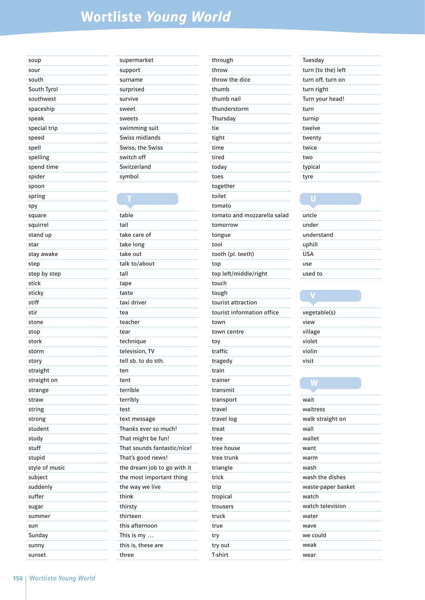| soup           |
|----------------|
| sour           |
| south          |
| South Tyrol    |
| southwest      |
| spaceship      |
| speak          |
| special trip   |
| speed          |
| spell          |
| spelling       |
| spend time     |
| spider         |
| spoon          |
| spring         |
| spy            |
| square         |
| squirrel       |
| stand up       |
| star           |
| stay awake     |
| step           |
| step by step   |
| stick          |
| sticky         |
|                |
| stiff          |
| stir           |
| stone          |
| stop           |
| stork          |
| storm          |
| story          |
| straight       |
| straight on    |
| strange        |
| straw          |
| string         |
| strong         |
| student        |
| study          |
| stuff          |
| stupid         |
| style of music |
| subject        |
| suddenly       |
| suffer         |
| sugar          |
| summer         |
| sun            |
| Sunday         |
| sunny          |

| supermarket      |
|------------------|
| support          |
| surname          |
| surprised        |
| survive          |
| sweet            |
| sweets           |
| swimming suit    |
| Swiss midlands   |
| Swiss; the Swiss |
| switch off       |
| Switzerland      |
| symbol           |
|                  |

table tail take care of take long take out talk to/about tall tape taste taxi driver tea teacher tear technique television, TV tell sb. to do sth. ten tent terrible terribly test text message Thanks ever so much! That might be fun! That sounds fantastic/nice! That's good news! the dream job to go with it the most important thing the way we live think thirsty thirteen this afternoon This is my … this is, these are three

| through                     |
|-----------------------------|
| throw                       |
| throw the dice              |
| thumb                       |
| thumb nail                  |
| thunderstorm                |
| Thursday                    |
| tie                         |
| tight                       |
| time                        |
| tired                       |
| today                       |
| toes                        |
| together                    |
| toilet                      |
| tomato                      |
| tomato and mozzarella salad |
| tomorrow                    |
| tongue                      |
| tool                        |
| tooth (pl. teeth)           |
| top                         |
| top left/middle/right       |
| touch                       |
| tough                       |
| tourist attraction          |
| tourist information office  |
| town                        |
| town centre                 |
| toy                         |
| traffic                     |
| tragedy                     |
| train                       |
| trainer                     |
| transmit                    |
| transport                   |
| travel                      |
| travel log                  |
| treat                       |
| tree                        |
| tree house                  |
| tree trunk                  |
| triangle                    |
| trick                       |
| trip                        |
| tropical                    |
| trousers                    |
| truck                       |
| true                        |
| try                         |
| try out                     |
| T-shirt                     |

| Tuesday            |
|--------------------|
| turn (to the) left |
| turn off, turn on  |
| turn right         |
| Turn your head!    |
| turn               |
| turnip             |
| twelve             |
| twenty             |
| twice              |
| two                |
| typical            |
| tyre               |

| uncle      |
|------------|
| under      |
| understand |
| uphill     |
| <b>USA</b> |
| use        |
| used to    |

| vegetable(s) |
|--------------|
| view         |
| village      |
| violet       |
| violin       |
| visit        |

### W

| wait               |
|--------------------|
| waitress           |
| walk straight on   |
| wall               |
| wallet             |
| want               |
| warm               |
| wash               |
| wash the dishes    |
| waste-paper basket |
| watch              |
| watch television   |
| water              |
| wave               |
| we could           |
| weak               |
| wear               |
|                    |